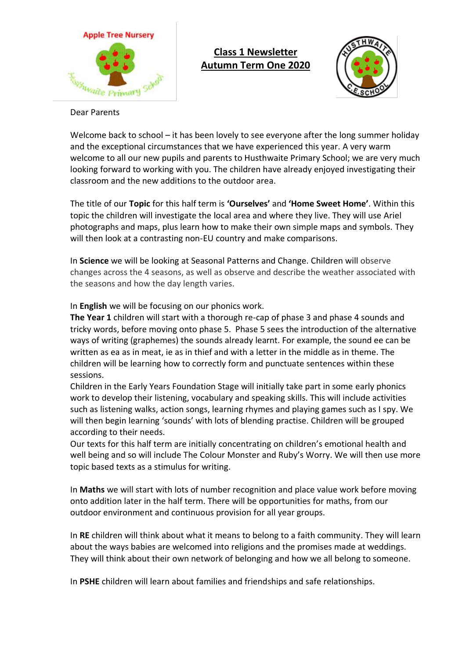

# **Class 1 Newsletter Autumn Term One 2020**



#### Dear Parents

Welcome back to school – it has been lovely to see everyone after the long summer holiday and the exceptional circumstances that we have experienced this year. A very warm welcome to all our new pupils and parents to Husthwaite Primary School; we are very much looking forward to working with you. The children have already enjoyed investigating their classroom and the new additions to the outdoor area.

The title of our **Topic** for this half term is **'Ourselves'** and **'Home Sweet Home'**. Within this topic the children will investigate the local area and where they live. They will use Ariel photographs and maps, plus learn how to make their own simple maps and symbols. They will then look at a contrasting non-EU country and make comparisons.

In **Science** we will be looking at Seasonal Patterns and Change. Children will observe changes across the 4 seasons, as well as observe and describe the weather associated with the seasons and how the day length varies.

In **English** we will be focusing on our phonics work.

**The Year 1** children will start with a thorough re-cap of phase 3 and phase 4 sounds and tricky words, before moving onto phase 5. Phase 5 sees the introduction of the alternative ways of writing (graphemes) the sounds already learnt. For example, the sound ee can be written as ea as in meat, ie as in thief and with a letter in the middle as in theme. The children will be learning how to correctly form and punctuate sentences within these sessions.

Children in the Early Years Foundation Stage will initially take part in some early phonics work to develop their listening, vocabulary and speaking skills. This will include activities such as listening walks, action songs, learning rhymes and playing games such as I spy. We will then begin learning 'sounds' with lots of blending practise. Children will be grouped according to their needs.

Our texts for this half term are initially concentrating on children's emotional health and well being and so will include The Colour Monster and Ruby's Worry. We will then use more topic based texts as a stimulus for writing.

In **Maths** we will start with lots of number recognition and place value work before moving onto addition later in the half term. There will be opportunities for maths, from our outdoor environment and continuous provision for all year groups.

In **RE** children will think about what it means to belong to a faith community. They will learn about the ways babies are welcomed into religions and the promises made at weddings. They will think about their own network of belonging and how we all belong to someone.

In **PSHE** children will learn about families and friendships and safe relationships.